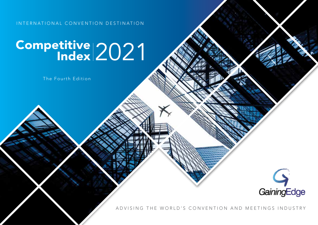INTERNATIONAL CONVENTION DESTINATION

# Competitive 2021

The Fourth Edition



ADVISING THE WORLD'S CONVENTION AND MEETINGS INDUSTRY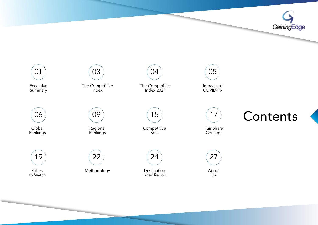



Index Report

Us

to Watch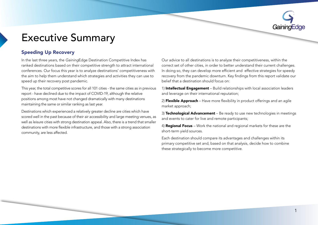# <span id="page-2-0"></span>**Executive Summary**

### **Speeding Up Recovery**

In the last three years, the *Gaining*Edge Destination Competitive Index has ranked destinations based on their competitive strength to attract international conferences. Our focus this year is to analyze destinations' competitiveness with the aim to help them understand which strategies and activities they can use to speed up their recovery post pandemic.

This year, the total competitive scores for all 101 cities - the same cities as in previous report - have declined due to the impact of COVID-19, although the relative positions among most have not changed dramatically with many destinations maintaining the same or similar ranking as last year.

Destinations which experienced a relatively greater decline are cities which have scored well in the past because of their air accessibility and large meeting venues, as well as leisure cities with strong destination appeal. Also, there is a trend that smaller destinations with more flexible infrastructure, and those with a strong association community, are less affected.

Our advice to all destinations is to analyze their competitiveness, within the correct set of other cities, in order to better understand their current challenges. In doing so, they can develop more efficient and effective strategies for speedy recovery from the pandemic downturn. Key findings from this report validate our belief that a destination should focus on:

1) Intellectual Engagement – Build relationships with local association leaders and leverage on their international reputation;

2) Flexible Approach – Have more flexibility in product offerings and an agile market approach;

3) Technological Advancement – Be ready to use new technologies in meetings and events to cater for live and remote participants;

4) **Regional Focus** – Work the national and regional markets for these are the short-term yield sources.

Each destination should compare its advantages and challenges within its primary competitive set and, based on that analysis, decide how to combine these strategically to become more competitive.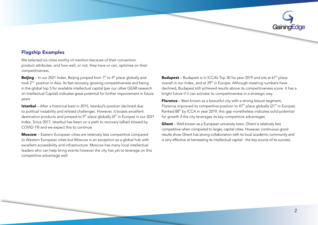

### **Flagship Examples**

We selected six cities worthy of mention because of their convention product attributes, and how well, or not, they have or can, optimise on their .competitiveness

**Beijing** – In our 2021 Index, Beijing jumped from  $7<sup>th</sup>$  to  $4<sup>th</sup>$  place globally and took 2<sup>nd</sup> position in Asia. Its fast recovery, growing competitiveness and being in the global top 5 for available intellectual capital (per our other GEAR research on Intellectual Capital) indicates great potential for further improvement in future .years

**Istanbul** – After a historical best in 2015, Istanbul's position declined due to political instability and related challenges. However, it boasts excellent destination products and jumped to  $9<sup>th</sup>$  place globally ( $4<sup>th</sup>$  in Europe) in our 2021 Index. Since 2017, Istanbul has been on a path to recovery (albeit slowed by COVID-19) and we expect this to continue.

Moscow - Eastern European cities are relatively less competitive compared to Western European cities but Moscow is an exception as a global hub with excellent accessibility and infrastructure. Moscow has many local intellectual leaders who can help bring events however the city has vet to leverage on this competitive advantage well.

**Budapest** – Budapest is in ICCA's Top 30 for year 2019 and sits at 61<sup>st</sup> place overall in our Index, and at 29<sup>th</sup> in Europe. Although meeting numbers have declined, Budapest still achieved results above its competitiveness score. It has a bright future if it can activate its competitiveness in a strategic way.

Florence – Best known as a beautiful city with a strong leisure segment, Florence improved its competitive position to 47<sup>th</sup> place globally (21<sup>st</sup> in Europe). Ranked 88<sup>th</sup> by ICCA in year 2019, this gap nonetheless indicates solid potential for growth if the city leverages its key competitive advantages.

**Ghent** – Well-known as a European university town, Ghent is relatively less competitive when compared to larger, capital cities. However, continuous good results show Ghent has strong collaboration with its local academic community and is very effective at harnessing its intellectual capital - the key source of its success.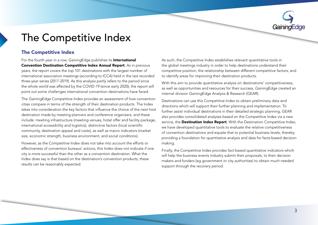

# <span id="page-4-0"></span>The Competitive Index

### The Competitive Index

For the fourth year in a row, GainingEdge publishes its **International Convention Destination Competitive Index Annual Report.** As in previous years, the report covers the top 101 destinations with the largest number of international association meetings (according to ICCA) held in the last recorded three-year series (2017-2019). As this analysis partly refers to the period since the whole world was affected by the COVID-19 (since early 2020), the report will point out some challenges international convention destinations have faced.

The GainingEdge Competitive Index provides an assessment of how convention cities compare in terms of the strength of their destination products. The Index takes into consideration the key factors that influence the choice of the next host destination made by meeting planners and conference organizers, and these include: meeting infrastructure (meeting venues, hotel offer and facility package, international accessibility and logistics), distinctive factors (local scientific community, destination appeal and costs), as well as macro indicators (market size, economic strength, business environment, and social conditions).

However, as the Competitive Index does not take into account the efforts or effectiveness of convention bureaus' actions, this Index does not indicate if one city is more successful than the other as a convention destination. What the Index does say is that based on the destination's convention products, these results can be reasonably expected.

As such, the Competitive Index establishes relevant quantitative tools in the global meetings industry in order to help destinations understand their competitive position; the relationship between different competitive factors; and to identify areas for improving their destination products.

With this aim to provide quantitative analysis on destinations' competitiveness, as well as opportunities and resources for their success, GainingEdge created an internal division *Gaining*Edge Analysis & Research (GEAR).

Destinations can use this Competitive Index to obtain preliminary data and directions which will support their further planning and implementation. To further assist individual destinations in their detailed strategic planning, GEAR also provides consolidated analyses based on the Competitive Index via a new service, the Destination Index Report. With the Destination Competitive Index, we have developed quantitative tools to evaluate the relative competitiveness of convention destinations and equate that to potential business levels, thereby providing a foundation for quantitative analysis and data for facts-based decision .making

Finally, the Competitive Index provides fact-based quantitative indicators which will help the business events industry submit their proposals, to their decision makers and funders (eq qovernment or city authorities) to obtain much needed support through the recovery period.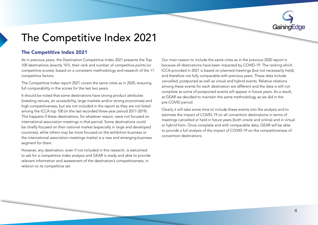

# <span id="page-5-0"></span>The Competitive Index 2021

### **The Competitive Index 2021**

As in previous years, the Destination Competitive Index 2021 presents the Top 100 destinations (exactly 101), their rank and number of competitive points (or competitive scores), based on a consistent methodology and research of the 11 competitive factors.

The Competitive Index report 2021 covers the same cities as in 2020, ensuring full comparability in the scores for the last two years.

It should be noted that some destinations have strong product attributes (meeting venues, air accessibility, large markets and/or strong economies) and high competitiveness, but are not included in the report as they are not listed among the ICCA top 100 (in the last recorded three-year period 2017-2019). This happens if these destinations, for whatever reason, were not focused on international association meetings in that period. Some destinations could be chiefly focused on their national market (especially in large and developed countries), while others may be more focused on the exhibition business or the international association meetings market is a new and emerging business segment for them.

However, any destination, even if not included in this research, is welcomed to ask for a competitive index analysis and GEAR is ready and able to provide relevant information and assessment of the destination's competitiveness, in relation to its competitive set.

Our main reason to include the same cities as in the previous 2020 report is because all destinations have been impacted by COVID-19. The ranking which ICCA provided in 2021 is based on planned meetings (but not necessarily held). and therefore not fully comparable with previous years. These data include cancelled, postponed as well as virtual and hybrid events. Relative relations among these events for each destination are different and the data is still not complete as some of postponed events will appear in future years. As a result, at GEAR we decided to maintain the same methodology as we did in the pre-COVID period.

Clearly it will take some time to include these events into the analysis and to estimate the impact of COVID-19 on all convention destinations in terms of meetings cancelled or held in future years (both onsite and online) and in virtual or hybrid form. Once complete and with comparable data, GEAR will be able to provide a full analysis of the impact of COVID-19 on the competitiveness of convention destinations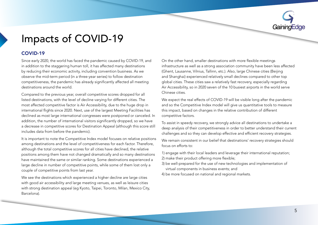

# <span id="page-6-0"></span>Impacts of COVID-19

### COVID-19

Since early 2020, the world has faced the pandemic caused by COVID-19, and in addition to the staggering human toll, it has affected many destinations by reducing their economic activity, including convention business. As we observe the mid-term period (in a three-year series) to follow destination competitiveness, the pandemic has already significantly affected all meeting destinations around the world.

Compared to the previous year, overall competitive scores dropped for all listed destinations, with the level of decline varying for different cities. The most affected competitive factor is Air Accessibility, due to the huge drop in international flights since 2020. Next, use of the largest Meeting Facilities has declined as most large international congresses were postponed or canceled. In addition, the number of international visitors significantly dropped, so we have a decrease in competitive scores for Destination Appeal (although this score still includes data from before the pandemic).

It is important to note the Competitive Index model focuses on relative positions among destinations and the level of competitiveness for each factor. Therefore, although the total competitive scores for all cities have declined, the relative positions among them have not changed dramatically and so many destinations have maintained the same or similar ranking. Some destinations experienced a large decline in number of competitive points, while some of them lost only a couple of competitive points from last year.

We see the destinations which experienced a higher decline are large cities with good air accessibility and large meeting venues, as well as leisure cities with strong destination appeal (eg Kyoto, Taipei, Toronto, Milan, Mexico City, Barcelona).

On the other hand, smaller destinations with more flexible meetings infrastructure as well as a strong association community have been less affected (Ghent, Lausanne, Vilnius, Tallinn, etc.). Also, large Chinese cities (Beijing and Shanghai) experienced relatively small declines compared to other top global cities. These cities saw a relatively fast recovery, especially regarding Air Accessibility, so in 2020 seven of the 10 busiest airports in the world serve Chinese cities.

We expect the real effects of COVID-19 will be visible long after the pandemic and so the Competitive Index model will give us quantitative tools to measure this impact, based on changes in the relative contribution of different competitive factors.

To assist in speedy recovery, we strongly advice all destinations to undertake a deep analysis of their competitiveness in order to better understand their current challenges and so they can develop effective and efficient recovery strategies.

We remain consistent in our belief that destinations' recovery strategies should  $f$ ocus on efforts to:

- 1) engage with their local leaders and leverage their international reputation; 2) make their product offering more flexible;
- 3) be well-prepared for the use of new technologies and implementation of virtual components in business events; and
- 4) be more focused on national and regional markets.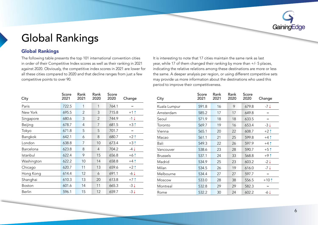

# <span id="page-7-0"></span>**Global Rankings**

### **Global Rankings**

The following table presents the top 101 international convention cities in order of their Competitive Index scores as well as their ranking in 2021 against 2020. Obviously, the competitive index scores in 2021 are lower for all these cities compared to 2020 and that decline ranges from just a few competitive points to over 90.

It is interesting to note that 17 cities maintain the same rank as last year, while 17 of them changed their ranking by more than  $+/-$  5 places, indicating the relative relations among these destinations are more or less the same. A deeper analysis per region, or using different competitive sets may provide us more information about the destinations who used this period to improve their competitiveness.

| City             | Score<br>2021 | Rank<br>2021 | Rank<br>2020   | Score<br>2020 | Change                              |
|------------------|---------------|--------------|----------------|---------------|-------------------------------------|
| Paris            | 722.5         | 1            | 1              | 764.1         | $=$                                 |
| New York         | 695.5         | 2            | 3              | 715.8         | $+1$ $\dagger$                      |
| Singapore        | 680.6         | 3            | $\overline{2}$ | 744.9         | -1↓                                 |
| Beijing          | 678.7         | 4            | 7              | 681.5         | $+3$ $\uparrow$                     |
| Tokyo            | 671.8         | 5            | 5              | 701.7         | $\hspace*{0.2cm} = \hspace*{0.2cm}$ |
| Bangkok          | 642.1         | 6            | 8              | 680.7         | $+2$ 1                              |
| London           | 638.8         | 7            | 10             | 673.4         | $+3$ $\uparrow$                     |
| <b>Barcelona</b> | 623.8         | 8            | 4              | 704.2         | $-4\downarrow$                      |
| Istanbul         | 622.4         | 9            | 15             | 656.8         | $+6$ $\uparrow$                     |
| Washington       | 622.2         | 10           | 14             | 658.8         | $+4$ $\uparrow$                     |
| Chicago          | 620.7         | 11           | 13             | 659.6         | $+2$ $\uparrow$                     |
| Hong Kong        | 614.4         | 12           | 6              | 691.1         | $-6\downarrow$                      |
| Shanghai         | 610.3         | 13           | 20             | 613.8         | $+7$ ↑                              |
| Boston           | 601.6         | 14           | 11             | 665.3         | $-3\downarrow$                      |
| <b>Berlin</b>    | 596.1         | 15           | 12             | 659.7         | $-3\downarrow$                      |

| City            | Score<br>2021 | Rank<br>2021 | Rank<br>2020 | Score<br>2020 | Change          |
|-----------------|---------------|--------------|--------------|---------------|-----------------|
| Kuala Lumpur    | 591.8         | 16           | 9            | 679.8         | $-7\downarrow$  |
| Amsterdam       | 585.2         | 17           | 17           | 649.8         | $=$             |
| Seoul           | 571.9         | 18           | 18           | 633.5         | $=$             |
| Toronto         | 569.7         | 19           | 16           | 653.4         | $-3\downarrow$  |
| Vienna          | 565.1         | 20           | 22           | 608.7         | $+2$ $\uparrow$ |
| Macao           | 561.1         | 21           | 25           | 599.8         | $+4$ $\dagger$  |
| Bali            | 549.3         | 22           | 26           | 597.9         | $+4$ $\dagger$  |
| Vancouver       | 538.6         | 23           | 28           | 590.7         | $+5$ $\uparrow$ |
| <b>Brussels</b> | 537.1         | 24           | 33           | 568.8         | $+9$ $\dagger$  |
| Madrid          | 534.9         | 25           | 23           | 603.2         | $-2\downarrow$  |
| Milan           | 534.5         | 26           | 19           | 616.0         | -7↓             |
| Melbourne       | 534.4         | 27           | 27           | 597.7         | $=$             |
| Moscow          | 533.0         | 28           | 38           | 556.5         | $+10$ $\dagger$ |
| Montreal        | 532.8         | 29           | 29           | 582.3         | $=$             |
| Rome            | 532.2         | 30           | 24           | 602.2         | $-6\downarrow$  |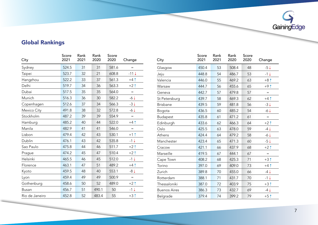

### **Global Rankings**

| City           | Score<br>2021 | Rank<br>2021 | Rank<br>2020 | Score<br>2020 | Change          |
|----------------|---------------|--------------|--------------|---------------|-----------------|
| Sydney         | 524.5         | 31           | 31           | 581.6         | $=$             |
| Taipei         | 523.7         | 32           | 21           | 608.8         | $-11\downarrow$ |
| Hangzhou       | 522.2         | 33           | 37           | 561.3         | $+4$ $\dagger$  |
| Delhi          | 519.7         | 34           | 36           | 563.3         | $+21$           |
| Dubai          | 517.5         | 35           | 35           | 564.0         | $=$             |
| Munich         | 516.3         | 36           | 30           | 582.2         | $-6\downarrow$  |
| Copenhagen     | 512.6         | 37           | 34           | 566.3         | $-3\downarrow$  |
| Mexico City    | 491.8         | 38           | 32           | 572.8         | $-6\downarrow$  |
| Stockholm      | 487.2         | 39           | 39           | 554.9         | $=$             |
| Hamburg        | 485.2         | 40           | 44           | 522.0         | $+4$ $\uparrow$ |
| Manila         | 482.9         | 41           | 41           | 546.0         | $=$             |
| Lisbon         | 479.4         | 42           | 43           | 530.1         | $+1$ $\dagger$  |
| Dublin         | 476.1         | 43           | 42           | 535.8         | $-1\downarrow$  |
| Sao Paulo      | 475.8         | 44           | 46           | 511.7         | $+2$ $\dagger$  |
| Prague         | 474.2         | 45           | 47           | 510.4         | $+2$ 1          |
| Helsinki       | 465.5         | 46           | 45           | 512.0         | $-1\downarrow$  |
| Florence       | 463.1         | 47           | 51           | 489.2         | $+4$ $\uparrow$ |
| Kyoto          | 459.5         | 48           | 40           | 553.1         | $-8\downarrow$  |
| Lyon           | 459.4         | 49           | 49           | 500.9         | $=$             |
| Gothenburg     | 458.6         | 50           | 52           | 489.0         | $+2$ 1          |
| Busan          | 456.7         | 51           | 490.1        | 50            | $-1\downarrow$  |
| Rio de Janeiro | 452.8         | 52           | 483.4        | 55            | $+31$           |

| City                | Score<br>2021 | Rank<br>2021 | Rank<br>2020 | Score<br>2020 | Change          |
|---------------------|---------------|--------------|--------------|---------------|-----------------|
| Glasgow             | 450.4         | 53           | 508.4        | 48            | $-5\downarrow$  |
| Jeju                | 448.8         | 54           | 486.7        | 53            | $-1\downarrow$  |
| Valencia            | 446.0         | 55           | 469.2        | 63            | $+8$ $\dagger$  |
| Warsaw              | 444.7         | 56           | 455.6        | 65            | $+9$ $\dagger$  |
| Geneva              | 442.7         | 57           | 479.8        | 57            | $=$             |
| St Petersburg       | 439.7         | 58           | 469.3        | 62            | $+4$ $\uparrow$ |
| <b>Brisbane</b>     | 439.5         | 59           | 481.8        | 56            | $-3\downarrow$  |
| Bogota              | 436.5         | 60           | 485.2        | 54            | $-6\downarrow$  |
| <b>Budapest</b>     | 435.8         | 61           | 471.2        | 61            | =               |
| Edinburgh           | 433.6         | 62           | 466.3        | 64            | $+2$ 1          |
| Oslo                | 425.5         | 63           | 478.0        | 59            | $-4\downarrow$  |
| Athens              | 424.4         | 64           | 479.2        | 58            | $-6\downarrow$  |
| Manchester          | 423.4         | 65           | 471.3        | 60            | $-5\downarrow$  |
| Cracow              | 421.1         | 66           | 437.9        | 68            | $+2$ 1          |
| Marseille           | 419.5         | 67           | 444.1        | 67            | $=$             |
| Cape Town           | 408.2         | 68           | 425.3        | 71            | $+3$ $\dagger$  |
| Torino              | 397.0         | 69           | 409.0        | 73            | $+4$ $\dagger$  |
| Zurich              | 389.8         | 70           | 455.0        | 66            | $-4\downarrow$  |
| Rotterdam           | 388.1         | 71           | 431.7        | 70            | $-1\downarrow$  |
| Thessaloniki        | 387.0         | 72           | 403.9        | 75            | $+3$ $\dagger$  |
| <b>Buenos Aires</b> | 386.3         | 73           | 432.7        | 69            | $-4\downarrow$  |
| Belgrade            | 379.4         | 74           | 399.2        | 79            | $+5$ $\dagger$  |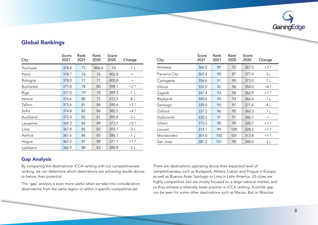

### **Global Rankings**

| City             | Score<br>2021 | Rank<br>2021 | Rank<br>2020 | Score<br>2020 | Change                              |
|------------------|---------------|--------------|--------------|---------------|-------------------------------------|
| Toulouse         | 378.8         | 75           | 406.4        | 74            | $-1\downarrow$                      |
| Porto            | 378.7         | 76           | 76           | 402.8         | $\hspace*{0.4em} = \hspace*{0.4em}$ |
| Bologna          | 378.0         | 77           | 77           | 400.8         | $=$                                 |
| <b>Bucharest</b> | 377.8         | 78           | 80           | 398.1         | $+2$ 1                              |
| Riga             | 377.0         | 79           | 78           | 399.3         | $-1\downarrow$                      |
| Venice           | 376.6         | 80           | 72           | 412.5         | $-8\downarrow$                      |
| Tallinn          | 375.6         | 81           | 84           | 390.6         | $+3$ $\uparrow$                     |
| Sofia            | 374.8         | 82           | 86           | 382.5         | $+4$ $\dagger$                      |
| Auckland         | 372.4         | 83           | 81           | 395.8         | $-2\downarrow$                      |
| Lausanne         | 369.3         | 84           | 89           | 373.7         | $+5$ $\dagger$                      |
| Lima             | 367.8         | 85           | 82           | 393.1         | $-3\downarrow$                      |
| Aarhus           | 367.6         | 86           | 85           | 386.1         | -1↓                                 |
| Hague            | 367.2         | 87           | 88           | 377.1         | $+1$ $\dagger$                      |
| Ljubljana        | 366.9         | 88           | 83           | 390.8         | -5↓                                 |

| City        | Score<br>2021 | Rank<br>2021 | Rank<br>2020 | Score<br>2020 | Change          |
|-------------|---------------|--------------|--------------|---------------|-----------------|
| Antwerp     | 366.0         | 89           | 92           | 367.5         | $+3$ $\uparrow$ |
| Panama City | 362.4         | 90           | 87           | 377.4         | $-3\downarrow$  |
| Cartagena   | 356.6         | 91           | 90           | 373.0         | $-1\downarrow$  |
| Vilnius     | 352.0         | 92           | 96           | 354.0         | $+4$ 1          |
| Zagreb      | 347.4         | 93           | 94           | 362.9         | $+1$ $\uparrow$ |
| Reykjavik   | 340.6         | 94           | 93           | 366.6         | -1↓             |
| Santiago    | 339.0         | 95           | 91           | 371.6         | $-4\downarrow$  |
| Oxford      | 337.5         | 96           | 95           | 360.3         | -1↓             |
| Dubrovnik   | 335.5         | 97           | 97           | 346.7         | $=$             |
| Ghent       | 315.5         | 98           | 99           | 328.7         | $+1$ $\dagger$  |
| Leuven      | 314.1         | 99           | 100          | 328.2         | $+1$ $\dagger$  |
| Montevideo  | 301.0         | 100          | 101          | 313.8         | $+1$ $\dagger$  |
| San Jose    | 287.2         | 101          | 98           | 340.0         | $-3\downarrow$  |

### **Gap Analysis**

By comparing the destinations' ICCA ranking with our competitiveness ranking, we can determine which destinations are achieving results above, or below, their potential.

This 'gap' analysis is even more useful when we take into consideration destinations from the same region or within a specific competitive set.

There are destinations operating above their expected level of competitiveness, such as Budapest, Athens, Lisbon and Prague in Europe, as well as Buenos Aires, Santiago or Lima in Latin America. US cities are highly competitive, but are mostly focused on a large national market, and so they achieve a relatively lower position in ICCA ranking. A similar gap can be seen for some other destinations such as Macao, Bali or Moscow.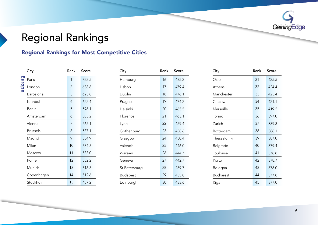

# <span id="page-10-0"></span>**Regional Rankings**

### **Regional Rankings for Most Competitive Cities**

|        | City       | Rank | Score |
|--------|------------|------|-------|
|        | Paris      | 1    | 722.5 |
| Europe | London     | 2    | 638.8 |
|        | Barcelona  | 3    | 623.8 |
|        | Istanbul   | 4    | 622.4 |
|        | Berlin     | 5    | 596.1 |
|        | Amsterdam  | 6    | 585.2 |
|        | Vienna     | 7    | 565.1 |
|        | Brussels   | 8    | 537.1 |
|        | Madrid     | 9    | 534.9 |
|        | Milan      | 10   | 534.5 |
|        | Moscow     | 11   | 533.0 |
|        | Rome       | 12   | 532.2 |
|        | Munich     | 13   | 516.3 |
|        | Copenhagen | 14   | 512.6 |
|        | Stockholm  | 15   | 487.2 |

| Rank           | Score | City          | Rank | Score | City         | Rank | Score |
|----------------|-------|---------------|------|-------|--------------|------|-------|
| $\mathbf{1}$   | 722.5 | Hamburg       | 16   | 485.2 | Oslo         | 31   | 425.5 |
| $\overline{2}$ | 638.8 | Lisbon        | 17   | 479.4 | Athens       | 32   | 424.4 |
| $\mathbf{3}$   | 623.8 | Dublin        | 18   | 476.1 | Manchester   | 33   | 423.4 |
| 4              | 622.4 | Prague        | 19   | 474.2 | Cracow       | 34   | 421.1 |
| 5              | 596.1 | Helsinki      | 20   | 465.5 | Marseille    | 35   | 419.5 |
| 6              | 585.2 | Florence      | 21   | 463.1 | Torino       | 36   | 397.0 |
| $\overline{7}$ | 565.1 | Lyon          | 22   | 459.4 | Zurich       | 37   | 389.8 |
| 8              | 537.1 | Gothenburg    | 23   | 458.6 | Rotterdam    | 38   | 388.1 |
| 9              | 534.9 | Glasgow       | 24   | 450.4 | Thessaloniki | 39   | 387.0 |
| 10             | 534.5 | Valencia      | 25   | 446.0 | Belgrade     | 40   | 379.4 |
| 11             | 533.0 | Warsaw        | 26   | 444.7 | Toulouse     | 41   | 378.8 |
| 12             | 532.2 | Geneva        | 27   | 442.7 | Porto        | 42   | 378.7 |
| 13             | 516.3 | St Petersburg | 28   | 439.7 | Bologna      | 43   | 378.0 |
| 14             | 512.6 | Budapest      | 29   | 435.8 | Bucharest    | 44   | 377.8 |
| 15             | 487.2 | Edinburgh     | 30   | 433.6 | Riga         | 45   | 377.0 |
|                |       |               |      |       |              |      |       |

| City             | Rank | Score |
|------------------|------|-------|
| Oslo             | 31   | 425.5 |
| Athens           | 32   | 424.4 |
| Manchester       | 33   | 423.4 |
| Cracow           | 34   | 421.1 |
| Marseille        | 35   | 419.5 |
| Torino           | 36   | 397.0 |
| Zurich           | 37   | 389.8 |
| Rotterdam        | 38   | 388.1 |
| Thessaloniki     | 39   | 387.0 |
| Belgrade         | 40   | 379.4 |
| Toulouse         | 41   | 378.8 |
| Porto            | 42   | 378.7 |
| Bologna          | 43   | 378.0 |
| <b>Bucharest</b> | 44   | 377.8 |
| Riga             | 45   | 377.0 |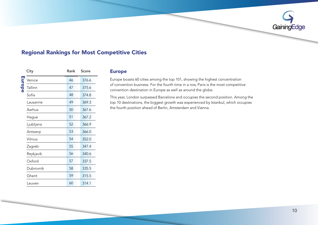

|        |           |      |       | <b>Regional Rankings for Most Competitive Cities</b> |
|--------|-----------|------|-------|------------------------------------------------------|
|        | City      | Rank | Score | <b>Europe</b>                                        |
|        | Venice    | 46   | 376.6 | Europe boasts 60 cities                              |
| Europe | Tallinn   | 47   | 375.6 | of convention business<br>convention destination     |
|        | Sofia     | 48   | 374.8 | This year, London surp.                              |
|        | Lausanne  | 49   | 369.3 | top 10 destinations, the                             |
|        | Aarhus    | 50   | 367.6 | the fourth position ahe                              |
|        | Hague     | 51   | 367.2 |                                                      |
|        | Ljubljana | 52   | 366.9 |                                                      |
|        | Antwerp   | 53   | 366.0 |                                                      |
|        | Vilnius   | 54   | 352.0 |                                                      |
|        | Zagreb    | 55   | 347.4 |                                                      |
|        | Reykjavik | 56   | 340.6 |                                                      |
|        | Oxford    | 57   | 337.5 |                                                      |
|        | Dubrovnik | 58   | 335.5 |                                                      |
|        | Ghent     | 59   | 315.5 |                                                      |
|        | Leuven    | 60   | 314.1 |                                                      |

### Europe

Europe boasts 60 cities among the top 101, showing the highest concentration of convention business. For the fourth time in a row, Paris is the most competitive convention destination in Europe as well as around the globe.

This year, London surpassed Barcelona and occupies the second position. Among the top 10 destinations, the biggest growth was experienced by Istanbul, which occupies the fourth position ahead of Berlin, Amsterdam and Vienna.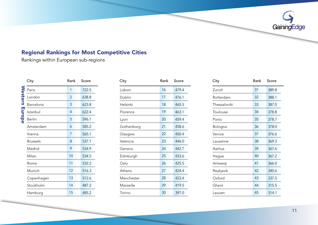

Rankings within European sub-regions

|                       | City            | Rank | Score |
|-----------------------|-----------------|------|-------|
| <b>Western Europe</b> | Paris           | 1    | 722.5 |
|                       | London          | 2    | 638.8 |
|                       | Barcelona       | 3    | 623.8 |
|                       | Istanbul        | 4    | 622.4 |
|                       | <b>Berlin</b>   | 5    | 596.1 |
|                       | Amsterdam       | 6    | 585.2 |
|                       | Vienna          | 7    | 565.1 |
|                       | <b>Brussels</b> | 8    | 537.1 |
|                       | Madrid          | 9    | 534.9 |
|                       | Milan           | 10   | 534.5 |
|                       | Rome            | 11   | 532.2 |
|                       | Munich          | 12   | 516.3 |
|                       | Copenhagen      | 13   | 512.6 |
|                       | Stockholm       | 14   | 487.2 |
|                       | Hamburg         | 15   | 485.2 |

| Rank | Score |
|------|-------|
| 16   | 479.4 |
| 17   | 476.1 |
| 18   | 465.5 |
| 19   | 463.1 |
| 20   | 459.4 |
| 21   | 458.6 |
| 22   | 450.4 |
| 23   | 446.0 |
| 24   | 442.7 |
| 25   | 433.6 |
| 26   | 425.5 |
| 27   | 424.4 |
| 28   | 423.4 |
| 29   | 419.5 |
| 30   | 397.0 |
|      |       |

| City            | Rank            | Score | City       | Rank | Score | City         |  |
|-----------------|-----------------|-------|------------|------|-------|--------------|--|
| Paris           | $\mathbf{1}$    | 722.5 | Lisbon     | 16   | 479.4 | Zurich       |  |
| London          | $\overline{2}$  | 638.8 | Dublin     | 17   | 476.1 | Rotterdam    |  |
| Barcelona       | $\overline{3}$  | 623.8 | Helsinki   | 18   | 465.5 | Thessaloniki |  |
| Istanbul        | $\overline{4}$  | 622.4 | Florence   | 19   | 463.1 | Toulouse     |  |
| <b>Berlin</b>   | $5\overline{)}$ | 596.1 | Lyon       | 20   | 459.4 | Porto        |  |
| Amsterdam       | 6               | 585.2 | Gothenburg | 21   | 458.6 | Bologna      |  |
| Vienna          | $7\overline{ }$ | 565.1 | Glasgow    | 22   | 450.4 | Venice       |  |
| <b>Brussels</b> | 8               | 537.1 | Valencia   | 23   | 446.0 | Lausanne     |  |
| Madrid          | 9               | 534.9 | Geneva     | 24   | 442.7 | Aarhus       |  |
| Milan           | 10              | 534.5 | Edinburgh  | 25   | 433.6 | Hague        |  |
| Rome            | 11              | 532.2 | Oslo       | 26   | 425.5 | Antwerp      |  |
| Munich          | 12              | 516.3 | Athens     | 27   | 424.4 | Reykjavik    |  |
| Copenhagen      | 13              | 512.6 | Manchester | 28   | 423.4 | Oxford       |  |
| Stockholm       | 14              | 487.2 | Marseille  | 29   | 419.5 | Ghent        |  |
| Hamburg         | 15              | 485.2 | Torino     | 30   | 397.0 | Leuven       |  |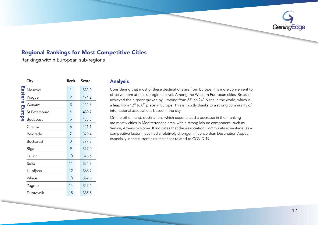

Rankings within European sub-regions

|               | City             | Rank | Score |
|---------------|------------------|------|-------|
|               | Moscow           | 1    | 533.0 |
| astern Europe | Prague           | 2    | 474.2 |
|               | Warsaw           | 3    | 444.7 |
|               | St Petersburg    | 4    | 439.7 |
|               | <b>Budapest</b>  | 5    | 435.8 |
|               | Cracow           | 6    | 421.1 |
|               | Belgrade         | 7    | 379.4 |
|               | <b>Bucharest</b> | 8    | 377.8 |
|               | Riga             | 9    | 377.0 |
|               | Tallinn          | 10   | 375.6 |
|               | Sofia            | 11   | 374.8 |
|               | Ljubljana        | 12   | 366.9 |
|               | Vilnius          | 13   | 352.0 |
|               | Zagreb           | 14   | 347.4 |
|               | Dubrovnik        | 15   | 335.5 |

### Analysis

Considering that most of these destinations are from Europe, it is more convenient to observe them at the subregional level. Among the Western European cities, Brussels achieved the highest growth by jumping from  $33<sup>rd</sup>$  to  $24<sup>th</sup>$  place in the world, which is a leap from  $12^{th}$  to  $8^{th}$  place in Europe. This is mostly thanks to a strong community of international associations based in the city.

On the other hand, destinations which experienced a decrease in their ranking are mostly cities in Mediterranean area, with a strong leisure component, such as Venice, Athens or Rome. It indicates that the Association Community advantage (as a competitive factor) have had a relatively stronger influence than Destination Appeal, especially in the current circumstances related to COVID-19.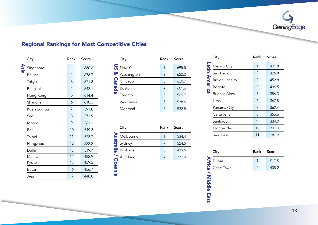

| City         | Rank           | Score |
|--------------|----------------|-------|
| Singapore    | 1              | 680.6 |
| Beijing      | $\overline{2}$ | 678.7 |
| Tokyo        | 3              | 671.8 |
| Bangkok      | 4              | 642.1 |
| Hong Kong    | 5              | 614.4 |
| Shanghai     | 6              | 610.3 |
| Kuala Lumpur | 7              | 591.8 |
| Seoul        | 8              | 571.9 |
| Macao        | 9              | 561.1 |
| Bali         | 10             | 549.3 |
| Taipei       | 11             | 523.7 |
| Hangzhou     | 12             | 522.2 |
| Delhi        | 13             | 519.7 |
| Manila       | 14             | 482.9 |
| Kyoto        | 15             | 459.5 |
| Busan        | 16             | 456.7 |
| Jeju         | 17             | 448.8 |

|           | City                    | Rank | Score |
|-----------|-------------------------|------|-------|
|           | $\overline{G}$ New York | 1    | 695.5 |
| ହ         | Washington              | 2    | 622.2 |
| Can       | Chicago                 | 3    | 620.7 |
| <u>aq</u> | Boston                  | 4    | 601.6 |
| ω         | Toronto                 | 5    | 569.7 |
|           | Vancouver               | 6    | 538.6 |
|           | Montreal                | 7    | 532.8 |

|                | City            | Rank | Score |
|----------------|-----------------|------|-------|
| Australia      | Melbourne       | 1    | 534.4 |
|                | Sydney          | 2    | 524.5 |
|                | <b>Brisbane</b> | 3    | 439.5 |
|                | Auckland        | 4    | 372.4 |
| <b>Oceania</b> |                 |      |       |

|                | City                | Rank | Score |
|----------------|---------------------|------|-------|
|                | Mexico City         | 1    | 491.8 |
|                | Sao Paulo           | 2    | 475.8 |
|                | Rio de Janeiro      | 3    | 452.8 |
| <b>America</b> | Bogota              | 4    | 436.5 |
|                | <b>Buenos Aires</b> | 5    | 386.3 |
|                | Lima                | 6    | 367.8 |
|                | Panama City         | 7    | 362.4 |
|                | Cartagena           | 8    | 356.6 |
|                | Santiago            | 9    | 339.0 |
|                | Montevideo          | 10   | 301.0 |
|                | San Jose            | 11   | 287.2 |

| City           | Rank Score |       |
|----------------|------------|-------|
| <b>b</b> Dubai |            | 517.5 |
| Cape Town      |            | 408.2 |

# **Africa / Middle East** Africa / Middle East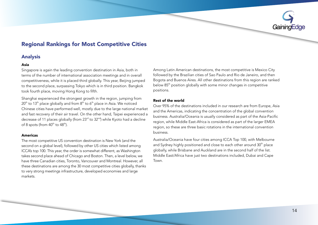

### Analysis

### Asia

Singapore is again the leading convention destination in Asia, both in terms of the number of international association meetings and in overall competitiveness, while it is placed third globally. This year, Beijing jumped to the second place, surpassing Tokyo which is in third position. Bangkok took fourth place, moving Hong Kong to fifth.

Shanghai experienced the strongest growth in the region, jumping from  $20^{th}$  to 13<sup>th</sup> place globally and from  $8^{th}$  to  $6^{th}$  place in Asia. We noticed Chinese cities have performed well, mostly due to the large national market and fast recovery of their air travel. On the other hand, Taipei experienced a decrease of 11 places globally (from  $23<sup>rd</sup>$  to  $32<sup>nd</sup>$ ) while Kyoto had a decline of 8 spots (from  $40^{\text{th}}$  to  $48^{\text{th}}$ ).

### Americas

The most competitive US convention destination is New York (and the second on a global level), followed by other US cities which listed among ICCA's top 100. This year, the order is somewhat different, as Washington takes second place ahead of Chicago and Boston. Then, a level below, we have three Canadian cities, Toronto, Vancouver and Montreal, However, all these destinations are among the 30 most competitive cities globally, thanks to very strong meetings infrastructure, developed economies and large .markets

Among Latin American destinations, the most competitive is Mexico City followed by the Brazilian cities of Sao Paulo and Rio de Janeiro, and then Bogota and Buenos Aires. All other destinations from this region are ranked below 85<sup>th</sup> position globally with some minor changes in competitive .positions

### Rest of the world

Over 95% of the destinations included in our research are from Europe, Asia and the Americas, indicating the concentration of the global convention business. Australia/Oceania is usually considered as part of the Asia-Pacific region, while Middle East-Africa is considered as part of the larger EMEA region, so these are three basic rotations in the international convention .business

Australia/Oceania have four cities among ICCA Top 100, with Melbourne and Sydney highly positioned and close to each other around 30<sup>th</sup> place globally, while Brisbane and Auckland are in the second half of the list. Middle East/Africa have just two destinations included, Dubai and Cape Town.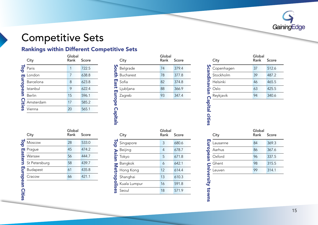

# <span id="page-16-0"></span>Competitive Sets

### Rankings within Different Competitive Sets

|                              | City                            | Global<br>Rank | Score |
|------------------------------|---------------------------------|----------------|-------|
| $\overline{\mathbf{o}}$<br>ಕ | Paris                           | 1              | 722.5 |
|                              | London                          | 7              | 638.8 |
| uropean                      | Barcelona                       | 8              | 623.8 |
|                              | Istanbul                        | 9              | 622.4 |
|                              | <b>Berlin</b>                   | 15             | 596.1 |
|                              | Amsterdam<br><b>C</b><br>Vienna | 17             | 585.2 |
|                              |                                 | 20             | 565.1 |

|                    | City      | Global<br>Rank | Score |
|--------------------|-----------|----------------|-------|
| South              | Belgrade  | 74             | 379.4 |
|                    | Bucharest | 78             | 377.8 |
|                    | Sofia     | 82             | 374.8 |
|                    | Ljubljana | 88             | 366.9 |
|                    | Zagreb    | 93             | 347.4 |
| <b>East Europe</b> |           |                |       |
| <b>Capitals</b>    |           |                |       |

|                             | City       | Global<br>Rank | Score |
|-----------------------------|------------|----------------|-------|
|                             | Copenhagen | 37             | 512.6 |
|                             | Stockholm  | 39             | 487.2 |
|                             | Helsinki   | 46             | 465.5 |
|                             | Oslo       | 63             | 425.5 |
|                             | Reykjavik  | 94             | 340.6 |
|                             |            |                |       |
| Scandinavian Capital cities | City       | Global<br>Rank | Score |
|                             | Lausanne   | 84             | 369.3 |
|                             | Aarhus     | 86             | 367.6 |
|                             | Oxford     | 96             | 337.5 |
|                             | Ghent      | 98             | 315.5 |
| European University towns   | Leuven     | 99             | 314.1 |

|               | City          | Global<br>Rank | Score |
|---------------|---------------|----------------|-------|
| <u>lop</u>    | Moscow        | 28             | 533.0 |
|               | Prague        | 45             | 474.2 |
| Eastern       | Warsaw        | 56             | 444.7 |
|               | St Petersburg | 58             | 439.7 |
|               | Budapest      | 61             | 435.8 |
| European      | Cracow        | 66             | 421.1 |
|               |               |                |       |
|               |               |                |       |
| <b>Cities</b> |               |                |       |

# **Lop**  $\frac{S}{B}$ Metropolises Asian Top

| City         | Global<br>Rank | Score |
|--------------|----------------|-------|
| Singapore    | 3              | 680.6 |
| Beijing      | 4              | 678.7 |
| Tokyo        | 5              | 671.8 |
| Bangkok      | 6              | 642.1 |
| Hong Kong    | 12             | 614.4 |
| Shanghai     | 13             | 610.3 |
| Kuala Lumpur | 16             | 591.8 |
| Seoul        | 18             | 571.9 |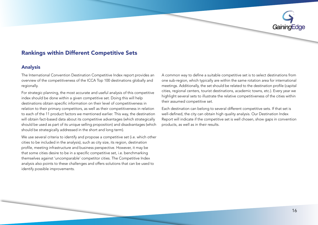

### Rankings within Different Competitive Sets

### Analysis

The International Convention Destination Competitive Index report provides an overview of the competitiveness of the ICCA Top 100 destinations globally and .regionally

For strategic planning, the most accurate and useful analysis of this competitive index should be done within a given competitive set. Doing this will help destinations obtain specific information on their level of competitiveness in relation to their primary competitors, as well as their competitiveness in relation to each of the 11 product factors we mentioned earlier. This way, the destination will obtain fact-based data about its competitive advantages (which strategically should be used as part of its unique selling proposition) and disadvantages (which should be strategically addressed in the short and long term).

We use several criteria to identify and propose a competitive set (i.e. which other cities to be included in the analysis), such as city size, its region, destination profile, meeting infrastructure and business perspective. However, it may be that some cities desire to be in a specific competitive set, i.e. benchmarking themselves against 'uncomparable' competitor cities. The Competitive Index analysis also points to these challenges and offers solutions that can be used to identify possible improvements.

A common way to define a suitable competitive set is to select destinations from one sub-region, which typically are within the same rotation area for international meetings. Additionally, the set should be related to the destination profile (capital cities, regional centers, tourist destinations, academic towns, etc.). Every year we highlight several sets to illustrate the relative competitiveness of the cities within their assumed competitive set.

Each destination can belong to several different competitive sets. If that set is well-defined, the city can obtain high quality analysis. Our Destination Index Report will indicate if the competitive set is well chosen, show gaps in convention products, as well as in their results.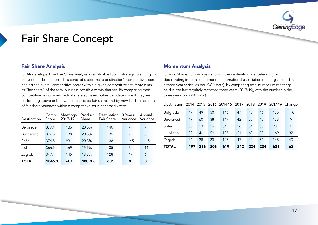

## <span id="page-18-0"></span>**Fair Share Concept**

GEAR developed our Fair Share Analysis as a valuable tool in strategic planning for convention destinations. This concept states that a destination's competitive score, against the overall competitive scores within a given competitive set, represents its "fair share" of the total business possible within that set. By comparing their competitive position and actual share achieved, cities can determine if they are performing above or below their expected fair share, and by how far. The net sum of fair share variances within a competitive set is necessarily zero.

| Destination      | Comp<br>Score | Meetings<br>2017-19 | Product<br>Share | Destination<br><b>Fair Share</b> | 3 Years<br>Variance | Annual<br>Variance |
|------------------|---------------|---------------------|------------------|----------------------------------|---------------------|--------------------|
| Belgrade         | 379.4         | 136                 | 20.5%            | 140                              | $-4$                | $-1$               |
| <b>Bucharest</b> | 377.8         | 138                 | 20.5%            | 139                              | $-1$                | $\Omega$           |
| Sofia            | 374.8         | 93                  | 20.3%            | 138                              | $-45$               | $-15$              |
| Ljubljana        | 366.9         | 169                 | 19.9%            | 135                              | 34                  | 11                 |
| Zagreb           | 347.4         | 145                 | 18.8%            | 128                              | 17                  | 6                  |
| <b>TOTAL</b>     | 1846.3        | 681                 | 100.0%           | 681                              | 0                   | 0                  |

### **Analysis Momentum Analysis Share Analysis Share Analysis** Share Theorem and Momentum Analysis

GEAR's Momentum Analysis shows if the destination is accelerating or decelerating in terms of number of international association meetings hosted in a three-year series (as per ICCA data), by comparing total number of meetings held in the last regularly recorded three years (2017-19), with the number in the three years prior  $(2014-16)$ :

### Destination 2014 2015 2016 2014-16 2017 2018 2019 2017-19 Change

| <b>TOTAL</b>     | 197 | 216 | 206 | 619 | 213 | 234 | 234 | 681 | 62    |
|------------------|-----|-----|-----|-----|-----|-----|-----|-----|-------|
| Zagreb           | 34  | 38  | 33  | 105 | 47  | 44  | 54  | 145 | 40    |
| Ljubljana        | 32  | 46  | 59  | 137 | 51  | 60  | 58  | 169 | 32    |
| Sofia            | 35  | 23  | 26  | 84  | 26  | 34  | 33  | 93  | 9     |
| <b>Bucharest</b> | 49  | 60  | 38  | 147 | 42  | 53  | 43  | 138 | $-9$  |
| Belgrade         | 47  | 49  | 50  | 146 | 47  | 43  | 46  | 136 | $-10$ |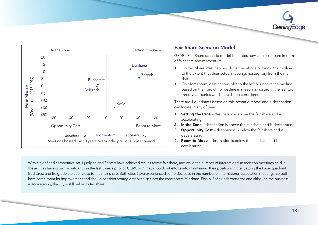



### **Fair Share Scenario Model**

GEAR's Fair Share scenario model illustrates how cities compare in terms of fair share and momentum:

- On Fair Share, destinations plot either above or below the midline to the extent that their actual meetings hosted vary from their fair .share
- On Momentum, destinations plot to the left or right of the midline based on their growth or decline in meetings hosted in the last two three-years series which have been considered.

There are 4 quadrants based on this scenario model and a destination can locate in any of them:

- 1. Setting the Pace destination is above the fair share and is accelerating
- **2.** In the Zone destination is above the fair share and is decelerating
- 3. Opportunity Cost destination is below the fair share and is decelerating
- **4. Room to Move** destination is below the fair share and is .accelerating

Within a defined competitive set, Ljubljana and Zagreb have achieved results above fair share, and while the number of international association meetings held in these cities have grown significantly in the last 3 years prior to COVID-19, they should put efforts into maintaining their positions in the 'Setting the Pace' quadrant. Bucharest and Belgrade are at or close to their fair share. Both cities have experienced some decrease in the number of international association meetings, so both have some room for improvement and should consider strategic steps to get into the zone above fair share. Finally, Sofia underperforms and although the business is accelerating, the city is still below its fair share.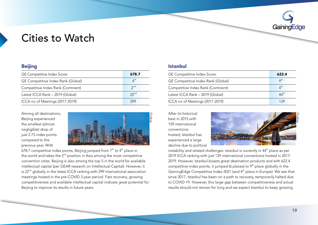

## <span id="page-20-0"></span>**Cities to Watch**

| <b>Beijing</b>                                 |                  |                 | <b>Istanbul</b>              |
|------------------------------------------------|------------------|-----------------|------------------------------|
| GE Competitive Index Score:                    |                  | 678.7           | <b>GE</b> Compe              |
| GE Competitive Index Rank (Global)             | $4^{\text{th}}$  | <b>GE</b> Compe |                              |
| Competitive Index Rank (Continent)             |                  | 2 <sub>nd</sub> | Competitiv                   |
| Latest ICCA Rank - 2019 (Global)               | 22 <sup>nd</sup> | Latest ICC/     |                              |
| ICCA no of Meetings (2017-2019)                |                  | 299             | ICCA no of                   |
| Among all destinations,<br>Beijing experienced |                  | Pixabay         | After its his<br>best in 201 |

Among all destinations. Beijing experienced the smallest (almost negligible) drop of just 2.75 index points compared to the previous vear. With



678.7 competitive index points, Beijing jumped from  $7<sup>th</sup>$  to  $4<sup>th</sup>$  place in the world and takes the  $2<sup>nd</sup>$  position in Asia among the most competitive convention cities. Beijing is also among the top 5 in the world for available intellectual capital (per GEAR research on Intellectual Capital). However, it is  $22<sup>nd</sup>$  globally in the latest ICCA ranking with 299 international association meetings hosted in the pre-COVID 3-year period. Fast recovery, growing competitiveness and available intellectual capital indicate great potential for Beijing to improve its results in future years.

| GE Competitive Index Score:        | 622.4                              |
|------------------------------------|------------------------------------|
| GE Competitive Index Rank (Global) | $Q^{\text{th}}$                    |
| Competitive Index Rank (Continent) | 4 <sup>th</sup>                    |
| Latest ICCA Rank - 2019 (Global)   | $\varLambda\varLambda^{\text{th}}$ |
| ICCA no of Meetings (2017-2019)    |                                    |

After its historical best in 2015 with 159 international conventions hosted, Istanbul has experienced a large decline due to political



instability and related challenges. Istanbul is currently in  $44<sup>th</sup>$  place as per 2019 ICCA ranking with just 129 international conventions hosted in 2017-2019. However, Istanbul boasts great destination products and with 622.4 competitive index points, it jumped (6 places) to  $9<sup>th</sup>$  place globally in the GainingEdge Competitive Index 2021 (and 4<sup>th</sup> place in Europe). We see that since 2017, Istanbul has been on a path to recovery, temporarily halted due to COVID-19. However, this large gap between competitiveness and actual results should not remain for long and we expect Istanbul to keep growing.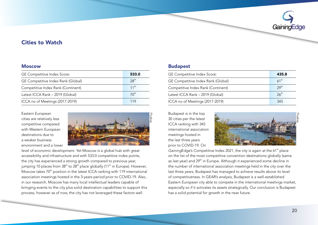

### **Cities to Watch**

| <b>Moscow</b>                                  | <b>Budapest</b>                                                                          |
|------------------------------------------------|------------------------------------------------------------------------------------------|
| GE Competitive Index Score:                    | 533.0<br><b>GE Competit</b>                                                              |
| GE Competitive Index Rank (Global)             | 28 <sup>th</sup><br><b>GE Competit</b>                                                   |
| Competitive Index Rank (Continent)             | $11^{th}$<br>Competitive                                                                 |
| Latest ICCA Rank - 2019 (Global)               | 70 <sup>th</sup><br>Latest ICCA I                                                        |
| ICCA no of Meetings (2017-2019)                | ICCA no of M<br>119                                                                      |
| Eastern European<br>cities are relatively less | Budapest is i<br>Pixabay<br>30 cities per t<br>$\sim$ $\sim$ $\sim$ $\sim$ $\sim$ $\sim$ |

Eastern European cities are relatively less competitive compared with Western Furopean destinations due to a weaker business environment and a lower



level of economic development. Yet Moscow is a global hub with great accessibility and infrastructure and with 533.0 competitive index points, the city has experienced a strong growth compared to previous year. jumping 10 places from  $38<sup>th</sup>$  to  $28<sup>th</sup>$  place globally (11<sup>th</sup> in Europe). However, Moscow takes 70<sup>th</sup> position in the latest ICCA ranking with 119 international association meetings hosted in the 3-years period prior to COVID-19. Also, in our research, Moscow has many local intellectual leaders capable of bringing events to the city plus solid destination capabilities to support this process, however as of now, the city has not leveraged these factors well.

| GE Competitive Index Score:        | 435.8            |
|------------------------------------|------------------|
| GE Competitive Index Rank (Global) | 61 <sup>st</sup> |
| Competitive Index Rank (Continent) | 29 <sup>th</sup> |
| Latest ICCA Rank - 2019 (Global)   | $26^{\text{th}}$ |
| ICCA no of Meetings (2017-2019)    | 345              |

Budapest is in the top 30 cities per the latest ICCA ranking with 345 international association meetings hosted in the last three years prior to COVID-19. On



GainingEdge's Competitive Index 2021, the city is again at the 61<sup>st</sup> place on the list of the most competitive convention destinations globally (same as last year) and 29<sup>th</sup> in Europe. Although it experienced some decline in the number of international association meetings held in the city over the last three years, Budapest has managed to achieve results above its level of competitiveness. In GEAR's analysis, Budapest is a well-established Eastern European city able to compete in the international meetings market, especially so if it activates its assets strategically. Our conclusion is Budapest has a solid potential for growth in the near future.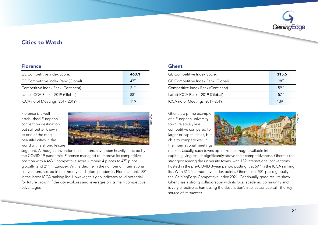

### **Cities to Watch**

| <b>Florence</b>                                                       |                  | <b>Ghent</b>                      |
|-----------------------------------------------------------------------|------------------|-----------------------------------|
| GE Competitive Index Score:                                           | 463.1            | GE Com                            |
| GE Competitive Index Rank (Global)                                    | $47^{\text{th}}$ | GE Com                            |
| Competitive Index Rank (Continent)                                    | 21 <sup>st</sup> | Competi                           |
| Latest ICCA Rank - 2019 (Global)                                      | 88 <sup>th</sup> | Latest IC                         |
| ICCA no of Meetings (2017-2019)                                       | 119              | ICCA no                           |
| Florence is a well-<br>established European<br>convention destination | Unsplash         | Ghent is<br>of a Euro<br>town rel |

established European  $Florence is a well$ convention destination. but still better known as one of the most beautiful cities in the world with a strong leisure



segment. Although convention destinations have been heavily affected by the COVID-19 pandemic, Florence managed to improve its competitive position with a 463.1 competitive score jumping 4 places to  $47<sup>th</sup>$  place globally (and 21<sup>st</sup> in Europe). With a decline in the number of international conventions hosted in the three-years before pandemic, Florence ranks 88<sup>th</sup> in the latest ICCA ranking list. However, this gap indicates solid potential for future growth if the city explores and leverages on its main competitive .advantages

| GE Competitive Index Score:        | 315.5            |
|------------------------------------|------------------|
| GE Competitive Index Rank (Global) | 98 <sup>th</sup> |
| Competitive Index Rank (Continent) | 59 <sup>th</sup> |
| Latest ICCA Rank - 2019 (Global)   | 57 <sup>th</sup> |
| ICCA no of Meetings (2017-2019)    | 139              |

Ghent is a prime example of a European university town, relatively less competitive compared to larger or capital cities, but able to compete well in the international meetings



market. Usually, such towns optimize their huge available intellectual capital, giving results significantly above their competitiveness. Ghent is the strongest among the university towns, with 139 international conventions hosted in the pre-COVID 3-year period putting it at  $59<sup>th</sup>$  in the ICCA ranking list. With 315.5 competitive index points, Ghent takes 98<sup>th</sup> place globally in the GainingEdge Competitive Index 2021. Continually good results show Ghent has a strong collaboration with its local academic community and is very effective at harnessing the destination's intellectual capital - the key source of its success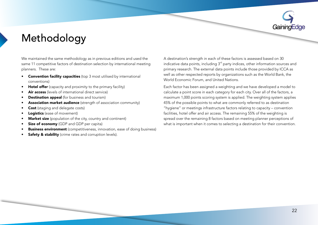# <span id="page-23-0"></span>Methodology

We maintained the same methodology as in previous editions and used the same 11 competitive factors of destination selection by international meeting planners. These are:

- **Convention facility capacities** (top 3 most utilised by international (conventions
- Hotel offer (capacity and proximity to the primary facility)
- Air access (levels of international direct service)
- Destination appeal (for business and tourism)
- Association market audience (strength of association community)
- Cost (staging and delegate costs)
- Logistics (ease of movement)
- **Market size** (population of the city, country and continent)
- Size of economy (GDP and GDP per capita)
- Business environment (competitiveness, innovation, ease of doing business)
- Safety & stability (crime rates and corruption levels).

A destination's strength in each of these factors is assessed based on 30 indicative data points, including  $3<sup>rd</sup>$  party indices, other information sources and primary research. The external data points include those provided by ICCA as well as other respected reports by organizations such as the World Bank, the World Economic Forum, and United Nations.

Each factor has been assigned a weighting and we have developed a model to calculate a point score in each category for each city. Over all of the factors, a maximum 1,000 points scoring system is applied. The weighting system applies 45% of the possible points to what are commonly referred to as destination "hygiene" or meetings infrastructure factors relating to capacity – convention facilities, hotel offer and air access. The remaining 55% of the weighting is spread over the remaining 8 factors based on meeting planner perceptions of what is important when it comes to selecting a destination for their convention.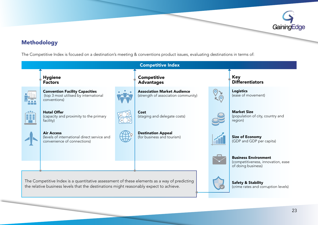

### Methodology

The Competitive Index is focused on a destination's meeting & conventions product issues, evaluating destinations in terms of:

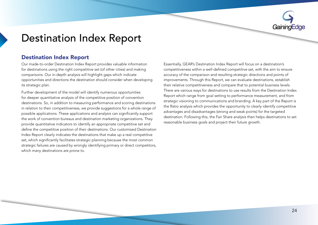

## <span id="page-25-0"></span>**Destination Index Report**

### **Destination Index Report**

Our made-to-order Destination Index Report provides valuable information for destinations using the right competitive set (of other cities) and making comparisons. Our in-depth analysis will highlight gaps which indicate opportunities and directions the destination should consider when developing its strategic plan.

Further development of the model will identify numerous opportunities for deeper quantitative analysis of the competitive position of convention destinations. So, in addition to measuring performance and scoring destinations in relation to their competitiveness, we provide suggestions for a whole range of possible applications. These applications and analysis can significantly support the work of convention bureaus and destination marketing organizations. They provide quantitative indicators to identify an appropriate competitive set and define the competitive position of their destinations. Our customised Destination Index Report clearly indicates the destinations that make up a real competitive set, which significantly facilitates strategic planning because the most common strategic failures are caused by wrongly identifying primary or direct competitors. which many destinations are prone to.

Essentially, GEAR's Destination Index Report will focus on a destination's competitiveness within a well-defined competitive set, with the aim to ensure accuracy of the comparison and resulting strategic directions and points of improvements. Through this Report, we can evaluate destinations, establish their relative competitiveness and compare that to potential business levels. There are various ways for destinations to use results from the Destination Index Report which range from goal setting to performance measurement, and from strategic visioning to communications and branding. A key part of the Report is the Ratio analysis which provides the opportunity to clearly identify competitive advantages and disadvantages (strong and weak points) for the targeted destination. Following this, the Fair Share analysis then helps destinations to set reasonable business goals and project their future growth.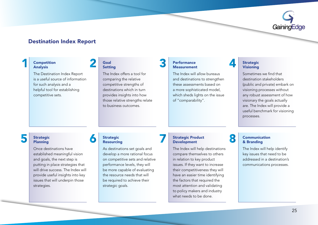

### **Destination Index Report**

### **Competition** Analysis

1

The Destination Index Report is a useful source of information for such analysis and a helpful tool for establishing competitive sets.

### Goal Setting

2

6

The Index offers a tool for comparing the relative competitive strengths of destinations which in turn provides insights into how those relative strengths relate to business outcomes

### **Performance** Measurement

3

7

The Index will allow bureaus and destinations to strengthen these assessments based on a more sophisticated model. which sheds lights on the issue of "comparability".

### **Strategic** Visioning

4

8

Sometimes we find that destination stakeholders (public and private) embark on visioning processes without any robust assessment of how visionary the goals actually are. The Index will provide a useful benchmark for visioning .processes

# 5

 Strategic Planning

Once destinations have established meaningful vision and goals, the next step is putting in place strategies that will drive success. The Index will provide useful insights into key issues that will underpin those strategies.

### **Strategic** Resourcing

As destinations set goals and develop a more rational focus on competitive sets and relative performance levels, they will be more capable of evaluating the resource needs that will be required to achieve their strategic goals.

### **Strategic Product** Development

The Index will help destinations compare themselves to others in relation to key product issues. If they want to increase their competitiveness they will have an easier time identifying the factors that required the most attention and validating to policy makers and industry what needs to be done.

### Communication & Branding

The Index will help identify key issues that need to be addressed in a destination's communications processes.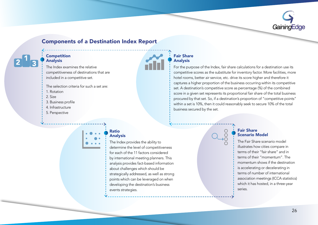

### **Components of a Destination Index Report**

### Competition Analysis

The Index examines the relative competitiveness of destinations that are included in a competitive set.

The selection criteria for such a set are:

- 1. Rotation
- 2. Size
- 3. Business profile
- 4. Infrastructure
- 5. Perspective

### **Fair Share** Analysis

For the purpose of the Index, fair share calculations for a destination use its competitive scores as the substitute for inventory factor. More facilities, more hotel rooms, better air service, etc. drive its score higher and therefore it captures a higher proportion of the business occurring within its competitive set. A destination's competitive score as percentage (%) of the combined score in a given set represents its proportional fair share of the total business procured by that set. So, if a destination's proportion of "competitive points" within a set is 10%, then it could reasonably seek to secure 10% of the total business secured by the set.

### Ratio Analysis

The Index provides the ability to determine the level of competitiveness for each of the 11 factors considered by international meeting planners. This analysis provides fact-based information about challenges which should be strategically addressed, as well as strong points which can be leveraged on when developing the destination's business events strategies.

### **Fair Share** Scenario Model

The Fair Share scenario model illustrates how cities compare in terms of their "fair share" and in terms of their "momentum" The momentum shows if the destination is accelerating or decelerating in terms of number of international association meetings (ICCA statistics) which it has hosted, in a three-year .series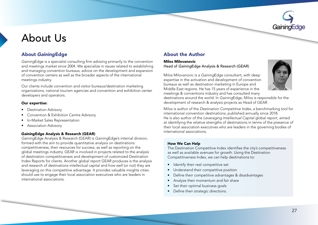# <span id="page-28-0"></span>About Us

### About GainingEdge About the Author

GainingEdge is a specialist consulting firm advising primarily to the convention and meetings market since 2004. We specialize in issues related to establishing and managing convention bureaus, advice on the development and expansion of convention centers as well as the broader aspects of the international meetings industry.

Our clients include convention and visitor bureaus/destination marketing organizations, national tourism agencies and convention and exhibition center developers and operators.

### Our expertise:

- Destination Advisory
- Convention & Exhibition Centre Advisory
- In-Market Sales Representation
- Association Advisory

### GainingEdge Analysis & Research (GEAR)

GainingEdge Analysis & Research (GEAR) is GainingEdge's internal division, formed with the aim to provide quantitative analysis on destinations competitiveness, their resources for success, as well as reporting on the alobal meetings industry. GEAR is involved in projects related to the analysis of destination competitiveness and development of customized Destination Index Reports for clients. Another global report GEAR produces is the analysis and research of destinations intellectual capital and how well (or not) they are leveraging on this competitive advantage. It provides valuable insights cities should use to engage their local association executives who are leaders in international associations

Milos Milovanovic Head of GainingEdge Analysis & Research (GEAR)

Milos Milovanovic is a GainingEdge consultant, with deep expertise in the activation and development of convention bureaus as well as destination marketing in Europe and Middle East regions. He has 15 years of experience in the meetings & conventions industry and has consulted many



destinations around the world. In GainingEdge, Milos is responsible for the development of research & analysis projects as Head of GEAR.

Milos is author of the Destination Competitive Index, a benchmarking tool for international convention destinations, published annually since 2018. He is also author of the *Leveraging Intellectual Capital global report*, aimed at identifying the relative strengths of destinations in terms of the presence of their local association executives who are leaders in the governing bodies of international associations

### How We Can Help

The Destination Competitive Index identifies the city's competitiveness as well as available avenues for growth. Using the Destination Competitiveness Index, we can help destinations to:

- Identify their real competitive set
- Understand their competitive position
- Define their competitive advantages & disadvantages
- Analyze their momentum and fair share
- Set their optimal business goals
- Define their strategic directions.